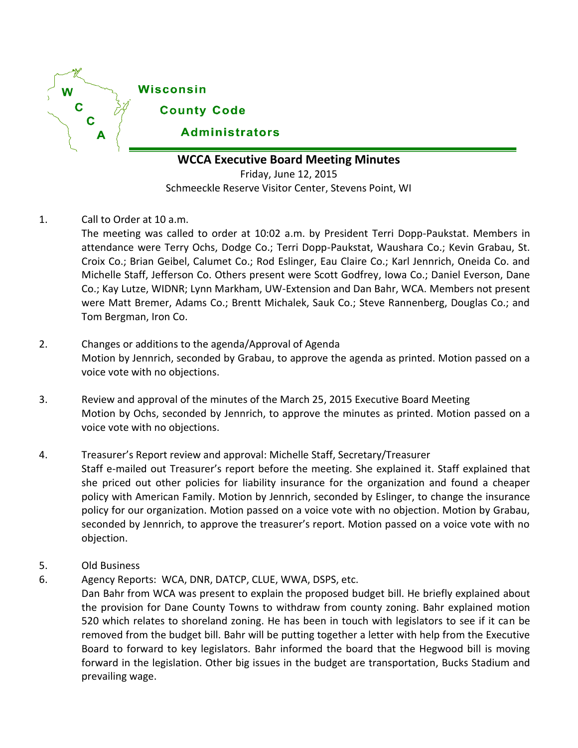

# **WCCA Executive Board Meeting Minutes**

Friday, June 12, 2015 Schmeeckle Reserve Visitor Center, Stevens Point, WI

1. Call to Order at 10 a.m.

The meeting was called to order at 10:02 a.m. by President Terri Dopp-Paukstat. Members in attendance were Terry Ochs, Dodge Co.; Terri Dopp-Paukstat, Waushara Co.; Kevin Grabau, St. Croix Co.; Brian Geibel, Calumet Co.; Rod Eslinger, Eau Claire Co.; Karl Jennrich, Oneida Co. and Michelle Staff, Jefferson Co. Others present were Scott Godfrey, Iowa Co.; Daniel Everson, Dane Co.; Kay Lutze, WIDNR; Lynn Markham, UW-Extension and Dan Bahr, WCA. Members not present were Matt Bremer, Adams Co.; Brentt Michalek, Sauk Co.; Steve Rannenberg, Douglas Co.; and Tom Bergman, Iron Co.

- 2. Changes or additions to the agenda/Approval of Agenda Motion by Jennrich, seconded by Grabau, to approve the agenda as printed. Motion passed on a voice vote with no objections.
- 3. Review and approval of the minutes of the March 25, 2015 Executive Board Meeting Motion by Ochs, seconded by Jennrich, to approve the minutes as printed. Motion passed on a voice vote with no objections.
- 4. Treasurer's Report review and approval: Michelle Staff, Secretary/Treasurer Staff e-mailed out Treasurer's report before the meeting. She explained it. Staff explained that she priced out other policies for liability insurance for the organization and found a cheaper policy with American Family. Motion by Jennrich, seconded by Eslinger, to change the insurance policy for our organization. Motion passed on a voice vote with no objection. Motion by Grabau, seconded by Jennrich, to approve the treasurer's report. Motion passed on a voice vote with no objection.
- 5. Old Business
- 6. Agency Reports: WCA, DNR, DATCP, CLUE, WWA, DSPS, etc.

Dan Bahr from WCA was present to explain the proposed budget bill. He briefly explained about the provision for Dane County Towns to withdraw from county zoning. Bahr explained motion 520 which relates to shoreland zoning. He has been in touch with legislators to see if it can be removed from the budget bill. Bahr will be putting together a letter with help from the Executive Board to forward to key legislators. Bahr informed the board that the Hegwood bill is moving forward in the legislation. Other big issues in the budget are transportation, Bucks Stadium and prevailing wage.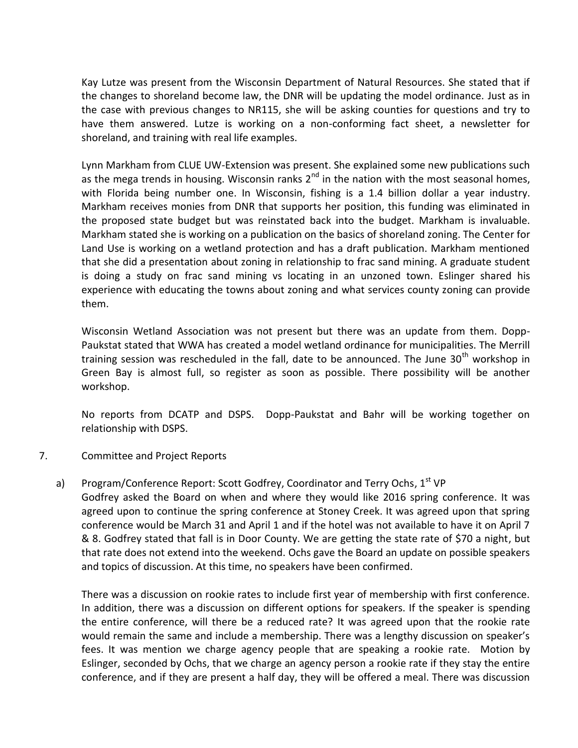Kay Lutze was present from the Wisconsin Department of Natural Resources. She stated that if the changes to shoreland become law, the DNR will be updating the model ordinance. Just as in the case with previous changes to NR115, she will be asking counties for questions and try to have them answered. Lutze is working on a non-conforming fact sheet, a newsletter for shoreland, and training with real life examples.

Lynn Markham from CLUE UW-Extension was present. She explained some new publications such as the mega trends in housing. Wisconsin ranks  $2^{nd}$  in the nation with the most seasonal homes, with Florida being number one. In Wisconsin, fishing is a 1.4 billion dollar a year industry. Markham receives monies from DNR that supports her position, this funding was eliminated in the proposed state budget but was reinstated back into the budget. Markham is invaluable. Markham stated she is working on a publication on the basics of shoreland zoning. The Center for Land Use is working on a wetland protection and has a draft publication. Markham mentioned that she did a presentation about zoning in relationship to frac sand mining. A graduate student is doing a study on frac sand mining vs locating in an unzoned town. Eslinger shared his experience with educating the towns about zoning and what services county zoning can provide them.

Wisconsin Wetland Association was not present but there was an update from them. Dopp-Paukstat stated that WWA has created a model wetland ordinance for municipalities. The Merrill training session was rescheduled in the fall, date to be announced. The June  $30<sup>th</sup>$  workshop in Green Bay is almost full, so register as soon as possible. There possibility will be another workshop.

No reports from DCATP and DSPS. Dopp-Paukstat and Bahr will be working together on relationship with DSPS.

### 7. Committee and Project Reports

a) Program/Conference Report: Scott Godfrey, Coordinator and Terry Ochs,  $1<sup>st</sup> VP$ Godfrey asked the Board on when and where they would like 2016 spring conference. It was agreed upon to continue the spring conference at Stoney Creek. It was agreed upon that spring conference would be March 31 and April 1 and if the hotel was not available to have it on April 7 & 8. Godfrey stated that fall is in Door County. We are getting the state rate of \$70 a night, but that rate does not extend into the weekend. Ochs gave the Board an update on possible speakers

and topics of discussion. At this time, no speakers have been confirmed.

There was a discussion on rookie rates to include first year of membership with first conference. In addition, there was a discussion on different options for speakers. If the speaker is spending the entire conference, will there be a reduced rate? It was agreed upon that the rookie rate would remain the same and include a membership. There was a lengthy discussion on speaker's fees. It was mention we charge agency people that are speaking a rookie rate. Motion by Eslinger, seconded by Ochs, that we charge an agency person a rookie rate if they stay the entire conference, and if they are present a half day, they will be offered a meal. There was discussion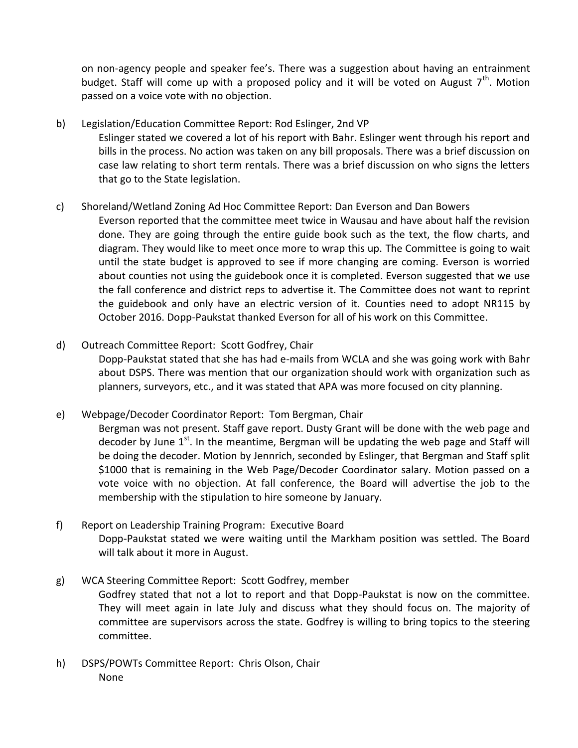on non-agency people and speaker fee's. There was a suggestion about having an entrainment budget. Staff will come up with a proposed policy and it will be voted on August  $7<sup>th</sup>$ . Motion passed on a voice vote with no objection.

b) Legislation/Education Committee Report: Rod Eslinger, 2nd VP Eslinger stated we covered a lot of his report with Bahr. Eslinger went through his report and bills in the process. No action was taken on any bill proposals. There was a brief discussion on case law relating to short term rentals. There was a brief discussion on who signs the letters that go to the State legislation.

## c) Shoreland/Wetland Zoning Ad Hoc Committee Report: Dan Everson and Dan Bowers

Everson reported that the committee meet twice in Wausau and have about half the revision done. They are going through the entire guide book such as the text, the flow charts, and diagram. They would like to meet once more to wrap this up. The Committee is going to wait until the state budget is approved to see if more changing are coming. Everson is worried about counties not using the guidebook once it is completed. Everson suggested that we use the fall conference and district reps to advertise it. The Committee does not want to reprint the guidebook and only have an electric version of it. Counties need to adopt NR115 by October 2016. Dopp-Paukstat thanked Everson for all of his work on this Committee.

## d) Outreach Committee Report: Scott Godfrey, Chair

Dopp-Paukstat stated that she has had e-mails from WCLA and she was going work with Bahr about DSPS. There was mention that our organization should work with organization such as planners, surveyors, etc., and it was stated that APA was more focused on city planning.

## e) Webpage/Decoder Coordinator Report: Tom Bergman, Chair

Bergman was not present. Staff gave report. Dusty Grant will be done with the web page and decoder by June  $1<sup>st</sup>$ . In the meantime, Bergman will be updating the web page and Staff will be doing the decoder. Motion by Jennrich, seconded by Eslinger, that Bergman and Staff split \$1000 that is remaining in the Web Page/Decoder Coordinator salary. Motion passed on a vote voice with no objection. At fall conference, the Board will advertise the job to the membership with the stipulation to hire someone by January.

f) Report on Leadership Training Program: Executive Board Dopp-Paukstat stated we were waiting until the Markham position was settled. The Board will talk about it more in August.

## g) WCA Steering Committee Report: Scott Godfrey, member

Godfrey stated that not a lot to report and that Dopp-Paukstat is now on the committee. They will meet again in late July and discuss what they should focus on. The majority of committee are supervisors across the state. Godfrey is willing to bring topics to the steering committee.

h) DSPS/POWTs Committee Report: Chris Olson, Chair None